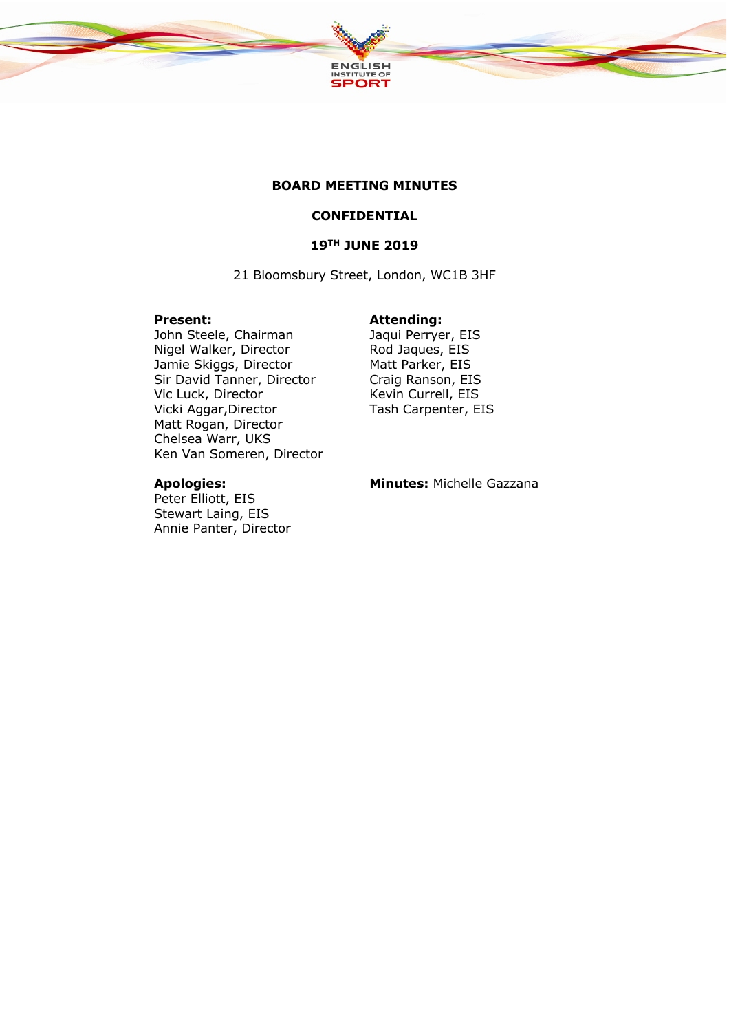

### **BOARD MEETING MINUTES**

## **CONFIDENTIAL**

# **19TH JUNE 2019**

21 Bloomsbury Street, London, WC1B 3HF

### **Present: Attending:**

John Steele, Chairman Jaqui Perryer, EIS Nigel Walker, Director Rod Jaques, EIS Jamie Skiggs, Director Matt Parker, EIS Sir David Tanner, Director Craig Ranson, EIS Vic Luck, Director Kevin Currell, EIS Vicki Aggar,Director Tash Carpenter, EIS Matt Rogan, Director Chelsea Warr, UKS Ken Van Someren, Director

Peter Elliott, EIS Stewart Laing, EIS Annie Panter, Director

**Apologies: Minutes:** Michelle Gazzana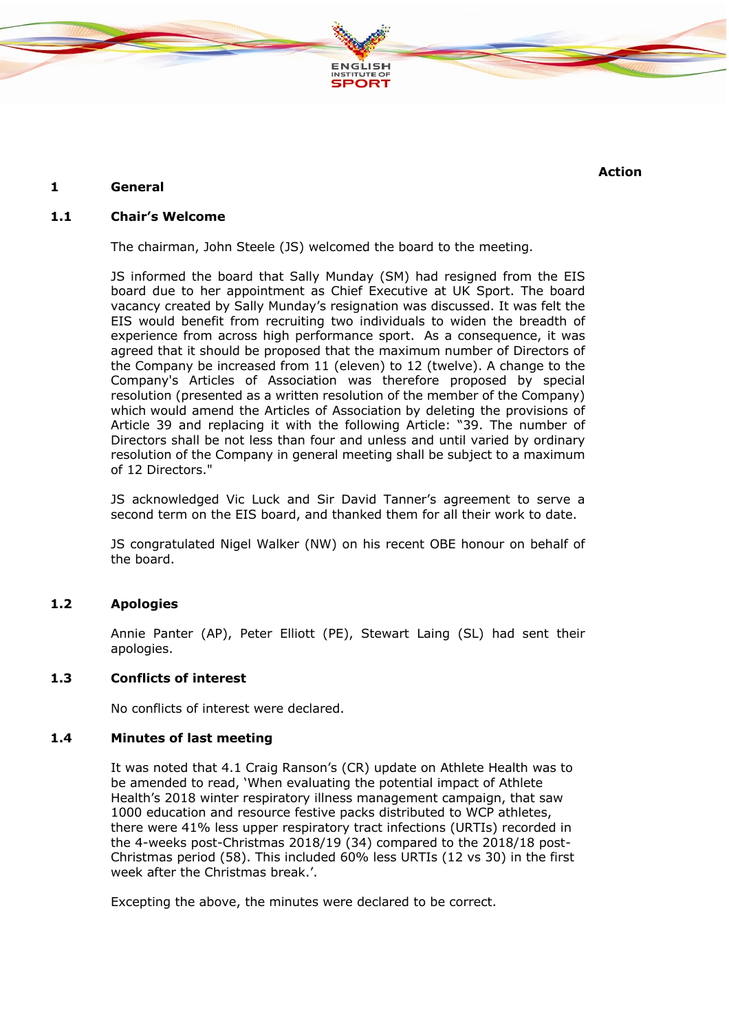

### **1 General**

**Action**

## **1.1 Chair's Welcome**

The chairman, John Steele (JS) welcomed the board to the meeting.

JS informed the board that Sally Munday (SM) had resigned from the EIS board due to her appointment as Chief Executive at UK Sport. The board vacancy created by Sally Munday's resignation was discussed. It was felt the EIS would benefit from recruiting two individuals to widen the breadth of experience from across high performance sport. As a consequence, it was agreed that it should be proposed that the maximum number of Directors of the Company be increased from 11 (eleven) to 12 (twelve). A change to the Company's Articles of Association was therefore proposed by special resolution (presented as a written resolution of the member of the Company) which would amend the Articles of Association by deleting the provisions of Article 39 and replacing it with the following Article: "39. The number of Directors shall be not less than four and unless and until varied by ordinary resolution of the Company in general meeting shall be subject to a maximum of 12 Directors."

JS acknowledged Vic Luck and Sir David Tanner's agreement to serve a second term on the EIS board, and thanked them for all their work to date.

JS congratulated Nigel Walker (NW) on his recent OBE honour on behalf of the board.

### **1.2 Apologies**

Annie Panter (AP), Peter Elliott (PE), Stewart Laing (SL) had sent their apologies.

#### **1.3 Conflicts of interest**

No conflicts of interest were declared.

#### **1.4 Minutes of last meeting**

It was noted that 4.1 Craig Ranson's (CR) update on Athlete Health was to be amended to read, 'When evaluating the potential impact of Athlete Health's 2018 winter respiratory illness management campaign, that saw 1000 education and resource festive packs distributed to WCP athletes, there were 41% less upper respiratory tract infections (URTIs) recorded in the 4-weeks post-Christmas 2018/19 (34) compared to the 2018/18 post-Christmas period (58). This included 60% less URTIs (12 vs 30) in the first week after the Christmas break.'.

Excepting the above, the minutes were declared to be correct.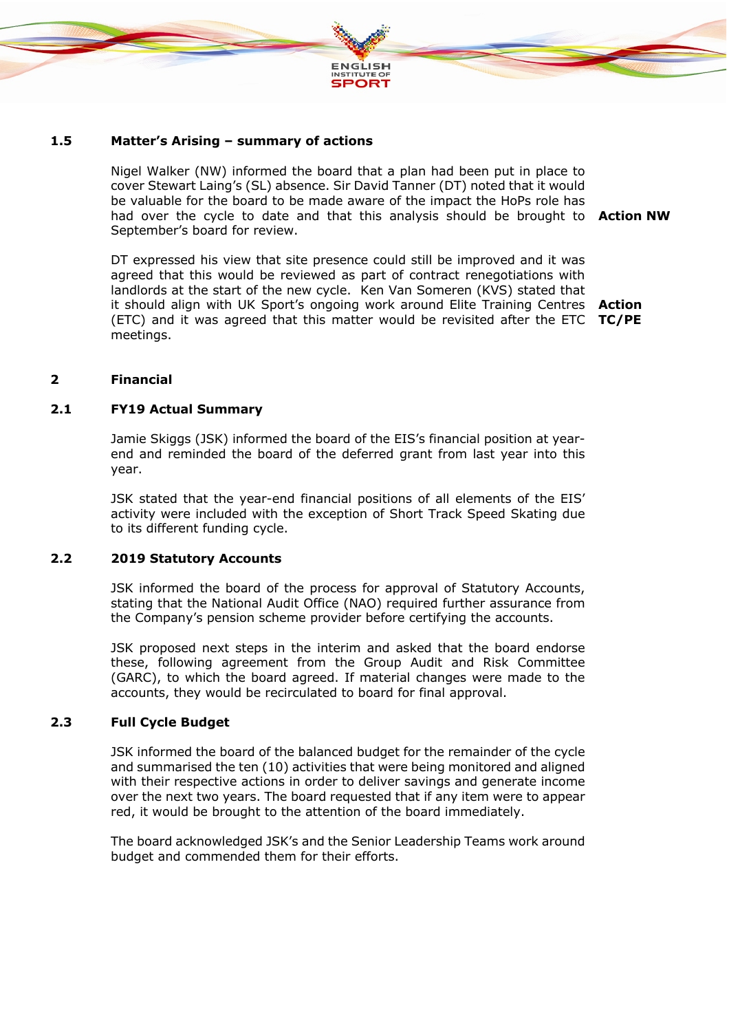

#### **1.5 Matter's Arising – summary of actions**

Nigel Walker (NW) informed the board that a plan had been put in place to cover Stewart Laing's (SL) absence. Sir David Tanner (DT) noted that it would be valuable for the board to be made aware of the impact the HoPs role has had over the cycle to date and that this analysis should be brought to **Action NW** September's board for review.

DT expressed his view that site presence could still be improved and it was agreed that this would be reviewed as part of contract renegotiations with landlords at the start of the new cycle. Ken Van Someren (KVS) stated that it should align with UK Sport's ongoing work around Elite Training Centres **Action**  (ETC) and it was agreed that this matter would be revisited after the ETC **TC/PE**meetings.

#### **2 Financial**

### **2.1 FY19 Actual Summary**

Jamie Skiggs (JSK) informed the board of the EIS's financial position at yearend and reminded the board of the deferred grant from last year into this year.

JSK stated that the year-end financial positions of all elements of the EIS' activity were included with the exception of Short Track Speed Skating due to its different funding cycle.

#### **2.2 2019 Statutory Accounts**

JSK informed the board of the process for approval of Statutory Accounts, stating that the National Audit Office (NAO) required further assurance from the Company's pension scheme provider before certifying the accounts.

JSK proposed next steps in the interim and asked that the board endorse these, following agreement from the Group Audit and Risk Committee (GARC), to which the board agreed. If material changes were made to the accounts, they would be recirculated to board for final approval.

#### **2.3 Full Cycle Budget**

JSK informed the board of the balanced budget for the remainder of the cycle and summarised the ten (10) activities that were being monitored and aligned with their respective actions in order to deliver savings and generate income over the next two years. The board requested that if any item were to appear red, it would be brought to the attention of the board immediately.

The board acknowledged JSK's and the Senior Leadership Teams work around budget and commended them for their efforts.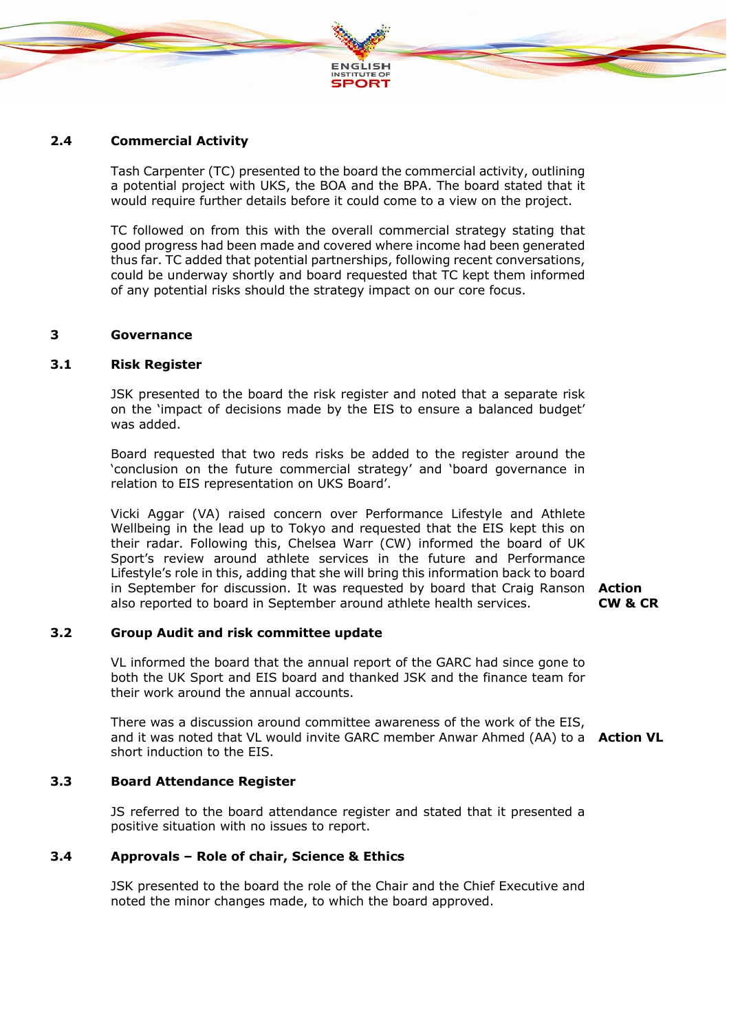

#### **2.4 Commercial Activity**

Tash Carpenter (TC) presented to the board the commercial activity, outlining a potential project with UKS, the BOA and the BPA. The board stated that it would require further details before it could come to a view on the project.

TC followed on from this with the overall commercial strategy stating that good progress had been made and covered where income had been generated thus far. TC added that potential partnerships, following recent conversations, could be underway shortly and board requested that TC kept them informed of any potential risks should the strategy impact on our core focus.

#### **3 Governance**

#### **3.1 Risk Register**

JSK presented to the board the risk register and noted that a separate risk on the 'impact of decisions made by the EIS to ensure a balanced budget' was added.

Board requested that two reds risks be added to the register around the 'conclusion on the future commercial strategy' and 'board governance in relation to EIS representation on UKS Board'.

Vicki Aggar (VA) raised concern over Performance Lifestyle and Athlete Wellbeing in the lead up to Tokyo and requested that the EIS kept this on their radar. Following this, Chelsea Warr (CW) informed the board of UK Sport's review around athlete services in the future and Performance Lifestyle's role in this, adding that she will bring this information back to board in September for discussion. It was requested by board that Craig Ranson **Action**  also reported to board in September around athlete health services.

**CW & CR**

#### **3.2 Group Audit and risk committee update**

VL informed the board that the annual report of the GARC had since gone to both the UK Sport and EIS board and thanked JSK and the finance team for their work around the annual accounts.

There was a discussion around committee awareness of the work of the EIS, and it was noted that VL would invite GARC member Anwar Ahmed (AA) to a **Action VL**short induction to the EIS.

#### **3.3 Board Attendance Register**

JS referred to the board attendance register and stated that it presented a positive situation with no issues to report.

#### **3.4 Approvals – Role of chair, Science & Ethics**

JSK presented to the board the role of the Chair and the Chief Executive and noted the minor changes made, to which the board approved.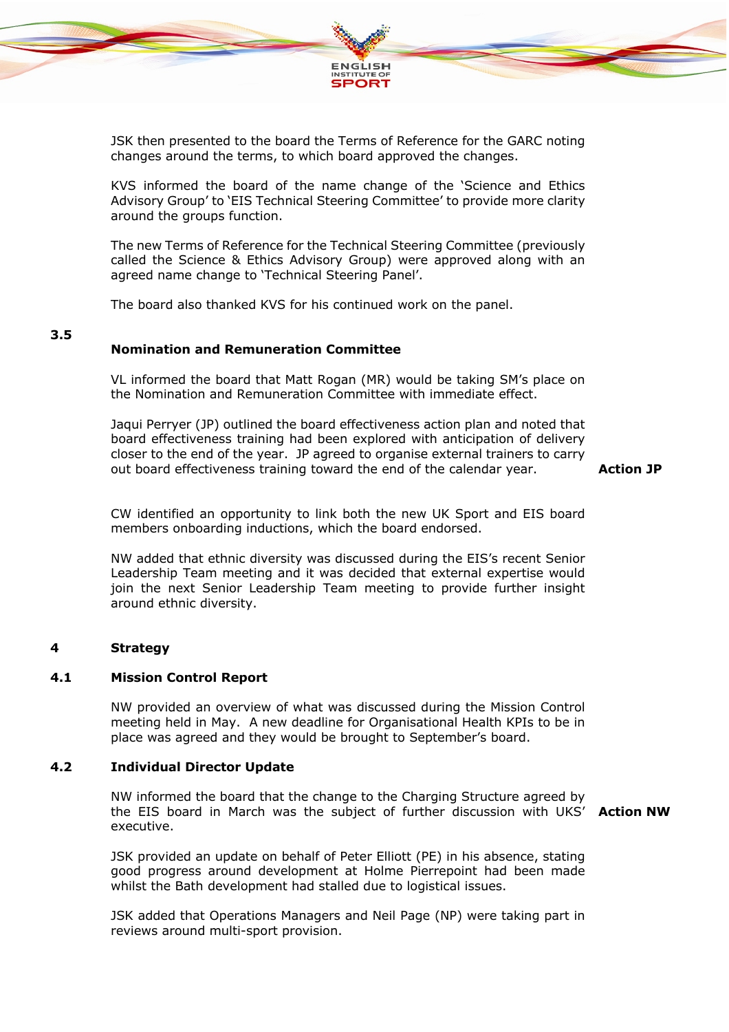

JSK then presented to the board the Terms of Reference for the GARC noting changes around the terms, to which board approved the changes.

KVS informed the board of the name change of the 'Science and Ethics Advisory Group' to 'EIS Technical Steering Committee' to provide more clarity around the groups function.

The new Terms of Reference for the Technical Steering Committee (previously called the Science & Ethics Advisory Group) were approved along with an agreed name change to 'Technical Steering Panel'.

The board also thanked KVS for his continued work on the panel.

# **3.5**

### **Nomination and Remuneration Committee**

VL informed the board that Matt Rogan (MR) would be taking SM's place on the Nomination and Remuneration Committee with immediate effect.

Jaqui Perryer (JP) outlined the board effectiveness action plan and noted that board effectiveness training had been explored with anticipation of delivery closer to the end of the year. JP agreed to organise external trainers to carry out board effectiveness training toward the end of the calendar year.

# **Action JP**

CW identified an opportunity to link both the new UK Sport and EIS board members onboarding inductions, which the board endorsed.

NW added that ethnic diversity was discussed during the EIS's recent Senior Leadership Team meeting and it was decided that external expertise would join the next Senior Leadership Team meeting to provide further insight around ethnic diversity.

#### **4 Strategy**

#### **4.1 Mission Control Report**

NW provided an overview of what was discussed during the Mission Control meeting held in May. A new deadline for Organisational Health KPIs to be in place was agreed and they would be brought to September's board.

#### **4.2 Individual Director Update**

NW informed the board that the change to the Charging Structure agreed by the EIS board in March was the subject of further discussion with UKS' **Action NW**executive.

JSK provided an update on behalf of Peter Elliott (PE) in his absence, stating good progress around development at Holme Pierrepoint had been made whilst the Bath development had stalled due to logistical issues.

JSK added that Operations Managers and Neil Page (NP) were taking part in reviews around multi-sport provision.